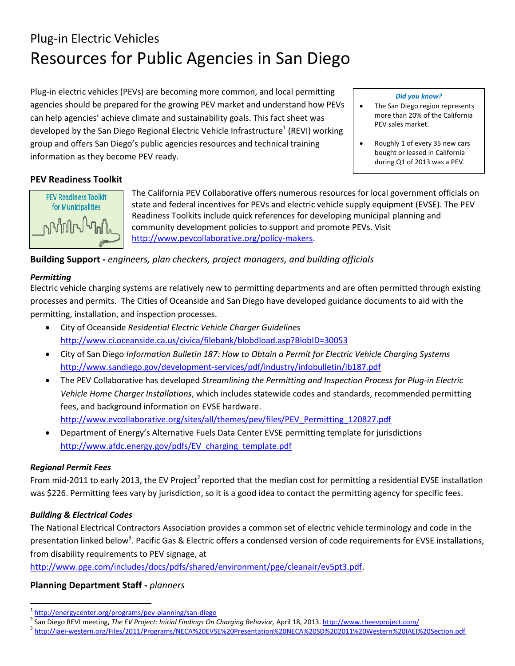# Plug-in Electric Vehicles Resources for Public Agencies in San Diego

Plug-in electric vehicles (PEVs) are becoming more common, and local permitting agencies should be prepared for the growing PEV market and understand how PEVs can help agencies' achieve climate and sustainability goals. This fact sheet was developed by the San Diego Regional Electric Vehicle Infrastructure<sup>1</sup> (REVI) working group and offers San Diego's public agencies resources and technical training information as they become PEV ready.

#### *Did you know?*

- The San Diego region represents more than 20% of the California PEV sales market.
- Roughly 1 of every 35 new cars bought or leased in California during Q1 of 2013 was a PEV.

#### **PEV Readiness Toolkit**



The California PEV Collaborative offers numerous resources for local government officials on state and federal incentives for PEVs and electric vehicle supply equipment (EVSE). The PEV Readiness Toolkits include quick references for developing municipal planning and community development policies to support and promote PEVs. Visit [http://www.pevcollaborative.org/policy-makers.](http://www.pevcollaborative.org/policy-makers)

**Building Support -** *engineers, plan checkers, project managers, and building officials*

#### *Permitting*

Electric vehicle charging systems are relatively new to permitting departments and are often permitted through existing processes and permits. The Cities of Oceanside and San Diego have developed guidance documents to aid with the permitting, installation, and inspection processes.

- City of Oceanside *Residential Electric Vehicle Charger Guidelines* <http://www.ci.oceanside.ca.us/civica/filebank/blobdload.asp?BlobID=30053>
- City of San Diego *Information Bulletin 187: How to Obtain a Permit for Electric Vehicle Charging Systems*  <http://www.sandiego.gov/development-services/pdf/industry/infobulletin/ib187.pdf>
- The PEV Collaborative has developed *Streamlining the Permitting and Inspection Process for Plug-in Electric Vehicle Home Charger Installations*, which includes statewide codes and standards, recommended permitting fees, and background information on EVSE hardware. [http://www.evcollaborative.org/sites/all/themes/pev/files/PEV\\_Permitting\\_120827.pdf](http://www.evcollaborative.org/sites/all/themes/pev/files/PEV_Permitting_120827.pdf)
- Department of Energy's Alternative Fuels Data Center EVSE permitting template for jurisdictions [http://www.afdc.energy.gov/pdfs/EV\\_charging\\_template.pdf](http://www.afdc.energy.gov/pdfs/EV_charging_template.pdf)

#### *Regional Permit Fees*

l

From mid-2011 to early 2013, the EV Project<sup>2</sup> reported that the median cost for permitting a residential EVSE installation was \$226. Permitting fees vary by jurisdiction, so it is a good idea to contact the permitting agency for specific fees.

#### *Building & Electrical Codes*

The National Electrical Contractors Association provides a common set of electric vehicle terminology and code in the presentation linked below<sup>3</sup>. Pacific Gas & Electric offers a condensed version of code requirements for EVSE installations, from disability requirements to PEV signage, at

[http://www.pge.com/includes/docs/pdfs/shared/environment/pge/cleanair/ev5pt3.pdf.](http://www.pge.com/includes/docs/pdfs/shared/environment/pge/cleanair/ev5pt3.pdf)

#### **Planning Department Staff -** *planners*

<sup>&</sup>lt;sup>1</sup><http://energycenter.org/programs/pev-planning/san-diego>

<sup>&</sup>lt;sup>2</sup> San Diego REVI meeting, *The EV Project: Initial Findings On Charging Behavior, April 18, 2013*.<http://www.theevproject.com/>

<sup>&</sup>lt;sup>3</sup><http://iaei-western.org/Files/2011/Programs/NECA%20EVSE%20Presentation%20NECA%20SD%202011%20Western%20IAEI%20Section.pdf>